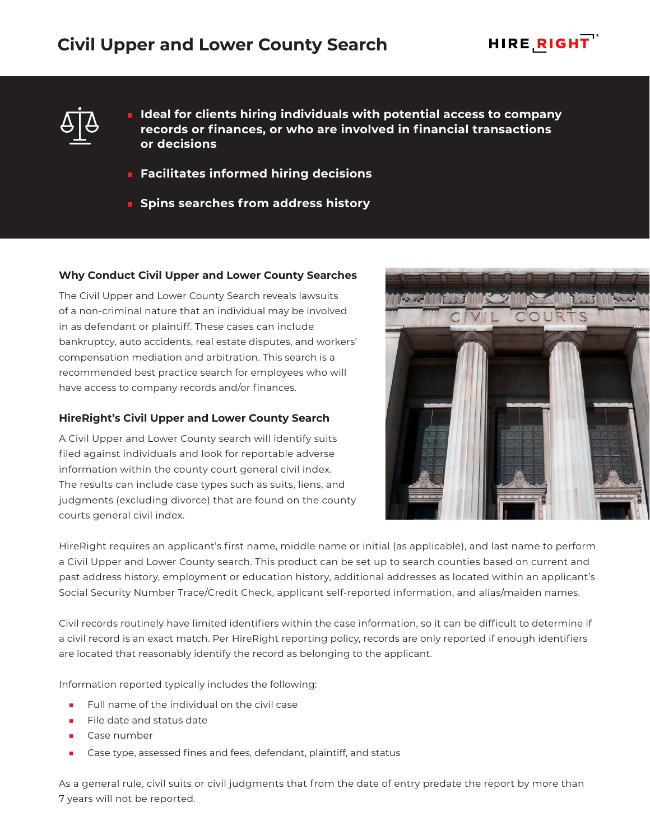



- **Ideal for clients hiring individuals with potential access to company records or finances, or who are involved in financial transactions or decisions**
- **Facilitates informed hiring decisions**
- **E** Spins searches from address history

# **Why Conduct Civil Upper and Lower County Searches**

The Civil Upper and Lower County Search reveals lawsuits of a non-criminal nature that an individual may be involved in as defendant or plaintiff. These cases can include bankruptcy, auto accidents, real estate disputes, and workers' compensation mediation and arbitration. This search is a recommended best practice search for employees who will have access to company records and/or finances.

# **HireRight's Civil Upper and Lower County Search**

A Civil Upper and Lower County search will identify suits filed against individuals and look for reportable adverse information within the county court general civil index. The results can include case types such as suits, liens, and judgments (excluding divorce) that are found on the county courts general civil index.



HireRight requires an applicant's first name, middle name or initial (as applicable), and last name to perform a Civil Upper and Lower County search. This product can be set up to search counties based on current and past address history, employment or education history, additional addresses as located within an applicant's Social Security Number Trace/Credit Check, applicant self-reported information, and alias/maiden names.

Civil records routinely have limited identifiers within the case information, so it can be difficult to determine if a civil record is an exact match. Per HireRight reporting policy, records are only reported if enough identifiers are located that reasonably identify the record as belonging to the applicant.

Information reported typically includes the following:

- Full name of the individual on the civil case
- File date and status date
- Case number
- Case type, assessed fines and fees, defendant, plaintiff, and status

As a general rule, civil suits or civil judgments that from the date of entry predate the report by more than 7 years will not be reported.